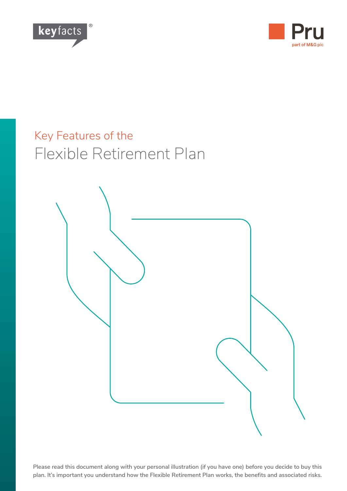



# Key Features of the Flexible Retirement Plan



**Please read this document along with your personal illustration (if you have one) before you decide to buy this plan. It's important you understand how the Flexible Retirement Plan works, the benefits and associated risks.**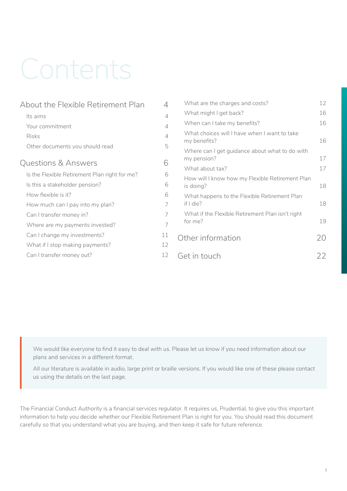# Contents

| About the Flexible Retirement Plan            | 4              | What are the charges and costs?                               | 12 |
|-----------------------------------------------|----------------|---------------------------------------------------------------|----|
| Its aims                                      | 4              | What might I get back?                                        | 16 |
| Your commitment                               | $\overline{4}$ | When can I take my benefits?                                  | 16 |
| <b>Risks</b>                                  | 4              | What choices will I have when I want to take<br>my benefits?  | 16 |
| Other documents you should read               | 5              | Where can I get guidance about what to do with<br>my pension? | 17 |
| Questions & Answers                           | 6              | What about tax?                                               | 17 |
| Is the Flexible Retirement Plan right for me? | 6              | How will I know how my Flexible Retirement Plan               |    |
| Is this a stakeholder pension?                | 6              | is doing?                                                     | 18 |
| How flexible is it?                           | 6              | What happens to the Flexible Retirement Plan                  |    |
| How much can I pay into my plan?              | 7              | if I die?                                                     | 18 |
| Can I transfer money in?                      | 7              | What if the Flexible Retirement Plan isn't right              |    |
| Where are my payments invested?               | 7              | for me?                                                       | 19 |
| Can I change my investments?                  | 11             | Other information                                             | 20 |
| What if I stop making payments?               | 12             |                                                               |    |
| Can I transfer money out?                     | 12             | Get in touch                                                  | 22 |

We would like everyone to find it easy to deal with us. Please let us know if you need information about our plans and services in a different format.

All our literature is available in audio, large print or braille versions. If you would like one of these please contact us using the details on the last page.

The Financial Conduct Authority is a financial services regulator. It requires us, Prudential, to give you this important information to help you decide whether our Flexible Retirement Plan is right for you. You should read this document carefully so that you understand what you are buying, and then keep it safe for future reference.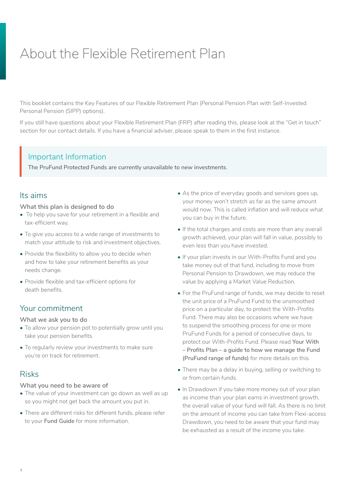# <span id="page-3-0"></span>About the Flexible Retirement Plan

This booklet contains the Key Features of our Flexible Retirement Plan (Personal Pension Plan with Self-Invested Personal Pension (SIPP) options).

If you still have questions about your Flexible Retirement Plan (FRP) after reading this, please look at the "Get in touch" section for our contact details. If you have a financial adviser, please speak to them in the first instance.

# Important Information<br>The PruFund Protected Funds

**The PruFund Protected Funds are currently unavailable to new investments**.

# Its aims

#### **What this plan is designed to do**

- To help you save for your retirement in a flexible and tax-efficient way.
- To give you access to a wide range of investments to match your attitude to risk and investment objectives.
- Provide the flexibility to allow you to decide when and how to take your retirement benefits as your needs change.
- Provide flexible and tax-efficient options for death benefits.

# Your commitment

#### **What we ask you to do**

- To allow your pension pot to potentially grow until you take your pension benefits.
- To regularly review your investments to make sure you're on track for retirement.

# Risks

#### **What you need to be aware of**

- The value of your investment can go down as well as up so you might not get back the amount you put in.
- There are different risks for different funds, please refer to your **Fund Guide** for more information.
- As the price of everyday goods and services goes up, your money won't stretch as far as the same amount would now. This is called inflation and will reduce what you can buy in the future.
- If the total charges and costs are more than any overall growth achieved, your plan will fall in value, possibly to even less than you have invested.
- If your plan invests in our With-Profits Fund and you take money out of that fund, including to move from Personal Pension to Drawdown, we may reduce the value by applying a Market Value Reduction.
- For the PruFund range of funds, we may decide to reset the unit price of a PruFund Fund to the unsmoothed price on a particular day, to protect the With-Profits Fund. There may also be occasions where we have to suspend the smoothing process for one or more PruFund Funds for a period of consecutive days, to protect our With-Profits Fund. Please read **Your With – Profits Plan – a guide to how we manage the Fund (PruFund range of funds)** for more details on this.
- There may be a delay in buying, selling or switching to or from certain funds.
- ln Drawdown if you take more money out of your plan as income than your plan earns in investment growth, the overall value of your fund will fall. As there is no limit on the amount of income you can take from Flexi-access Drawdown, you need to be aware that your fund may be exhausted as a result of the income you take.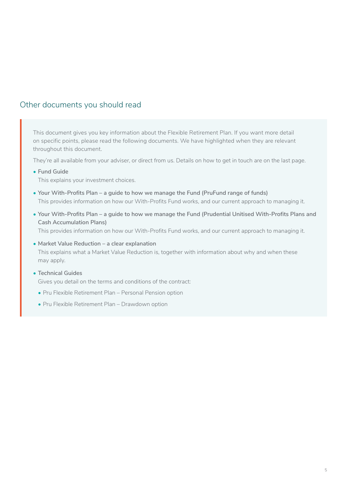# <span id="page-4-0"></span>Other documents you should read

This document gives you key information about the Flexible Retirement Plan. If you want more detail on specific points, please read the following documents. We have highlighted when they are relevant throughout this document.

They're all available from your adviser, or direct from us. Details on how to get in touch are on the last page.

**• Fund Guide**

This explains your investment choices.

- **• Your With-Profits Plan a guide to how we manage the Fund (PruFund range of funds)** This provides information on how our With-Profits Fund works, and our current approach to managing it.
- **• Your With-Profits Plan a guide to how we manage the Fund (Prudential Unitised With-Profits Plans and Cash Accumulation Plans)**

This provides information on how our With-Profits Fund works, and our current approach to managing it.

- **• Market Value Reduction a clear explanation** This explains what a Market Value Reduction is, together with information about why and when these may apply.
- **• Technical Guides**

Gives you detail on the terms and conditions of the contract:

- Pru Flexible Retirement Plan Personal Pension option
- Pru Flexible Retirement Plan Drawdown option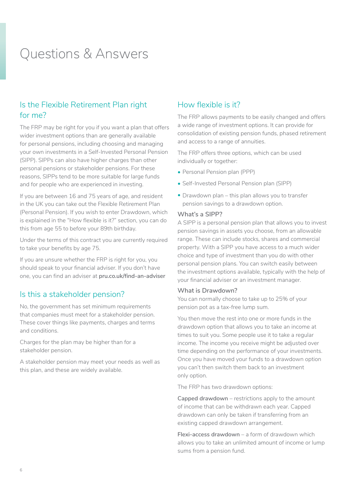# <span id="page-5-0"></span>Questions & Answers

# Is the Flexible Retirement Plan right for me?

The FRP may be right for you if you want a plan that offers wider investment options than are generally available for personal pensions, including choosing and managing your own investments in a Self-Invested Personal Pension (SIPP). SIPPs can also have higher charges than other personal pensions or stakeholder pensions. For these reasons, SIPPs tend to be more suitable for large funds and for people who are experienced in investing.

If you are between 16 and 75 years of age, and resident in the UK you can take out the Flexible Retirement Plan (Personal Pension). If you wish to enter Drawdown, which is explained in the "How flexible is it?" section, you can do this from age 55 to before your 89th birthday.

Under the terms of this contract you are currently required to take your benefits by age 75.

If you are unsure whether the FRP is right for you, you should speak to your financial adviser. If you don't have one, you can find an adviser at **[pru.co.uk/find-an-adviser](https://www.pru.co.uk/find-an-adviser/)**

# Is this a stakeholder pension?

No, the government has set minimum requirements that companies must meet for a stakeholder pension. These cover things like payments, charges and terms and conditions.

Charges for the plan may be higher than for a stakeholder pension.

A stakeholder pension may meet your needs as well as this plan, and these are widely available.

# How flexible is it?

The FRP allows payments to be easily changed and offers a wide range of investment options. It can provide for consolidation of existing pension funds, phased retirement and access to a range of annuities.

The FRP offers three options, which can be used individually or together:

- Personal Pension plan (PPP)
- Self-Invested Personal Pension plan (SIPP)
- Drawdown plan this plan allows you to transfer pension savings to a drawdown option.

#### **What's a SIPP?**

A SIPP is a personal pension plan that allows you to invest pension savings in assets you choose, from an allowable range. These can include stocks, shares and commercial property. With a SIPP you have access to a much wider choice and type of investment than you do with other personal pension plans. You can switch easily between the investment options available, typically with the help of your financial adviser or an investment manager.

#### **What is Drawdown?**

You can normally choose to take up to 25% of your pension pot as a tax-free lump sum.

You then move the rest into one or more funds in the drawdown option that allows you to take an income at times to suit you. Some people use it to take a regular income. The income you receive might be adjusted over time depending on the performance of your investments. Once you have moved your funds to a drawdown option you can't then switch them back to an investment only option.

The FRP has two drawdown options:

**Capped drawdown** – restrictions apply to the amount of income that can be withdrawn each year. Capped drawdown can only be taken if transferring from an existing capped drawdown arrangement.

**Flexi-access drawdown** – a form of drawdown which allows you to take an unlimited amount of income or lump sums from a pension fund.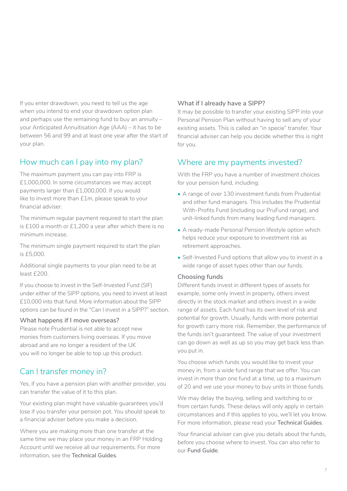<span id="page-6-0"></span>If you enter drawdown, you need to tell us the age when you intend to end your drawdown option plan and perhaps use the remaining fund to buy an annuity – your Anticipated Annuitisation Age (AAA) – it has to be between 56 and 99 and at least one year after the start of your plan.

### How much can I pay into my plan?

The maximum payment you can pay into FRP is £1,000,000. ln some circumstances we may accept payments larger than £1,000,000. If you would like to invest more than £1m, please speak to your financial adviser.

The minimum regular payment required to start the plan is £100 a month or £1,200 a year after which there is no minimum increase.

The minimum single payment required to start the plan is £5,000.

Additional single payments to your plan need to be at least £200.

If you choose to invest in the Self-Invested Fund (SIF) under either of the SIPP options, you need to invest at least £10,000 into that fund. More information about the SIPP options can be found in the "Can I invest in a SIPP?" section.

#### **What happens if I move overseas?**

Please note Prudential is not able to accept new monies from customers living overseas. If you move abroad and are no longer a resident of the UK you will no longer be able to top up this product.

# Can I transfer money in?

Yes, if you have a pension plan with another provider, you can transfer the value of it to this plan.

Your existing plan might have valuable guarantees you'd lose if you transfer your pension pot. You should speak to a financial adviser before you make a decision.

Where you are making more than one transfer at the same time we may place your money in an FRP Holding Account until we receive all our requirements. For more information, see the **Technical Guides**.

#### **What if I already have a SIPP?**

It may be possible to transfer your existing SIPP into your Personal Pension Plan without having to sell any of your existing assets. This is called an "in specie" transfer. Your financial adviser can help you decide whether this is right for you.

### Where are my payments invested?

With the FRP you have a number of investment choices for your pension fund, including:

- A range of over 130 investment funds from Prudential and other fund managers. This includes the Prudential With-Profits Fund (including our PruFund range), and unit-linked funds from many leading fund managers.
- A ready-made Personal Pension lifestyle option which helps reduce your exposure to investment risk as retirement approaches.
- Self-lnvested Fund options that allow you to invest in a wide range of asset types other than our funds.

#### **Choosing funds**

Different funds invest in different types of assets for example, some only invest in property, others invest directly in the stock market and others invest in a wide range of assets. Each fund has its own level of risk and potential for growth. Usually, funds with more potential for growth carry more risk. Remember, the performance of the funds isn't guaranteed. The value of your investment can go down as well as up so you may get back less than you put in.

You choose which funds you would like to invest your money in, from a wide fund range that we offer. You can invest in more than one fund at a time, up to a maximum of 20 and we use your money to buy units in those funds.

We may delay the buying, selling and switching to or from certain funds. These delays will only apply in certain circumstances and if this applies to you, we'll let you know. For more information, please read your **Technical Guides**.

Your financial adviser can give you details about the funds, before you choose where to invest. You can also refer to our **Fund Guide**.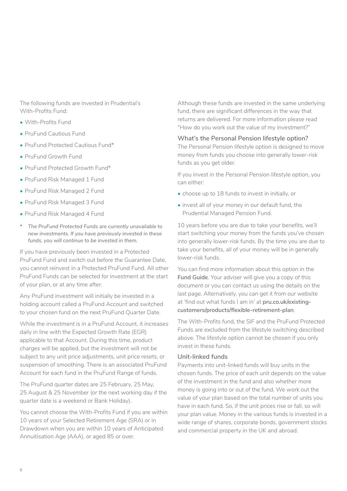The following funds are invested in Prudential's With-Profits Fund:

- With-Profits Fund
- PruFund Cautious Fund
- PruFund Protected Cautious Fund\*
- PruFund Growth Fund
- PruFund Protected Growth Fund\*
- PruFund Risk Managed 1 Fund
- PruFund Risk Managed 2 Fund
- PruFund Risk Managed 3 Fund
- PruFund Risk Managed 4 Fund
- *\* The PruFund Protected Funds are currently unavailable to new investments. If you have previously invested in these funds, you will continue to be invested in them.*

If you have previously been invested in a Protected PruFund Fund and switch out before the Guarantee Date, you cannot reinvest in a Protected PruFund Fund. All other PruFund Funds can be selected for investment at the start of your plan, or at any time after.

Any PruFund investment will initially be invested in a holding account called a PruFund Account and switched to your chosen fund on the next PruFund Quarter Date.

While the investment is in a PruFund Account, it increases daily in line with the Expected Growth Rate (EGR) applicable to that Account. During this time, product charges will be applied, but the investment will not be subject to any unit price adjustments, unit price resets, or suspension of smoothing. There is an associated PruFund Account for each fund in the PruFund Range of funds.

The PruFund quarter dates are 25 February, 25 May, 25 August & 25 November (or the next working day if the quarter date is a weekend or Bank Holiday).

You cannot choose the With-Profits Fund if you are within 10 years of your Selected Retirement Age (SRA) or in Drawdown when you are within 10 years of Anticipated Annuitisation Age (AAA), or aged 85 or over.

Although these funds are invested in the same underlying fund, there are significant differences in the way that returns are delivered. For more information please read "How do you work out the value of my investment?"

#### **What's the Personal Pension lifestyle option?**

The Personal Pension lifestyle option is designed to move money from funds you choose into generally lower-risk funds as you get older.

If you invest in the Personal Pension lifestyle option, you can either:

- choose up to 18 funds to invest in initially, or
- invest all of your money in our default fund, the Prudential Managed Pension Fund.

10 years before you are due to take your benefits, we'll start switching your money from the funds you've chosen into generally lower-risk funds. By the time you are due to take your benefits, all of your money will be in generally lower-risk funds.

You can find more information about this option in the **Fund Guide**. Your adviser will give you a copy of this document or you can contact us using the details on the last page. Alternatively, you can get it from our website at 'find out what funds I am in' at **[pru.co.uk/existing](https://www.pru.co.uk/existing-customers/products/flexible-retirement-plan)[customers/products/flexible-retirement-plan](https://www.pru.co.uk/existing-customers/products/flexible-retirement-plan)**.

The With-Profits fund, the SIF and the PruFund Protected Funds are excluded from the lifestyle switching described above. The lifestyle option cannot be chosen if you only invest in these funds.

#### **Unit-linked funds**

Payments into unit-linked funds will buy units in the chosen funds. The price of each unit depends on the value of the investment in the fund and also whether more money is going into or out of the fund. We work out the value of your plan based on the total number of units you have in each fund. So, if the unit prices rise or fall, so will your plan value. Money in the various funds is invested in a wide range of shares, corporate bonds, government stocks and commercial property in the UK and abroad.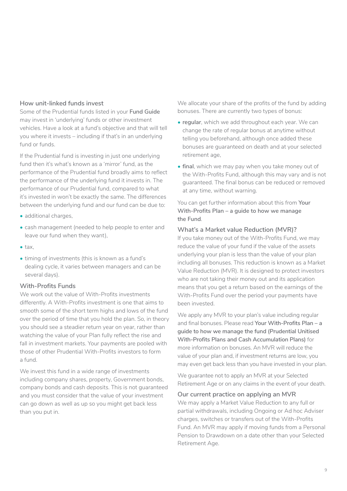#### **How unit-linked funds invest**

Some of the Prudential funds listed in your **Fund Guide** may invest in 'underlying' funds or other investment vehicles. Have a look at a fund's objective and that will tell you where it invests – including if that's in an underlying fund or funds.

If the Prudential fund is investing in just one underlying fund then it's what's known as a 'mirror' fund, as the performance of the Prudential fund broadly aims to reflect the performance of the underlying fund it invests in. The performance of our Prudential fund, compared to what it's invested in won't be exactly the same. The differences between the underlying fund and our fund can be due to:

- additional charges.
- cash management (needed to help people to enter and leave our fund when they want),
- tax,
- timing of investments (this is known as a fund's dealing cycle, it varies between managers and can be several days).

#### **With-Profits Funds**

We work out the value of With-Profits investments differently. A With-Profits investment is one that aims to smooth some of the short term highs and lows of the fund over the period of time that you hold the plan. So, in theory you should see a steadier return year on year, rather than watching the value of your Plan fully reflect the rise and fall in investment markets. Your payments are pooled with those of other Prudential With-Profits investors to form a fund.

We invest this fund in a wide range of investments including company shares, property, Government bonds, company bonds and cash deposits. This is not guaranteed and you must consider that the value of your investment can go down as well as up so you might get back less than you put in.

We allocate your share of the profits of the fund by adding bonuses. There are currently two types of bonus:

- **• regular**, which we add throughout each year. We can change the rate of regular bonus at anytime without telling you beforehand, although once added these bonuses are guaranteed on death and at your selected retirement age,
- **• final**, which we may pay when you take money out of the With-Profits Fund, although this may vary and is not guaranteed. The final bonus can be reduced or removed at any time, without warning.

You can get further information about this from **Your With-Profits Plan – a guide to how we manage the Fund**.

#### **What's a Market value Reduction (MVR)?**

If you take money out of the With-Profits Fund, we may reduce the value of your fund if the value of the assets underlying your plan is less than the value of your plan including all bonuses. This reduction is known as a Market Value Reduction (MVR). It is designed to protect investors who are not taking their money out and its application means that you get a return based on the earnings of the With-Profits Fund over the period your payments have been invested.

We apply any MVR to your plan's value including regular and final bonuses. Please read **Your With-Profits Plan – a guide to how we manage the fund (Prudential Unitised With-Profits Plans and Cash Accumulation Plans)** for more information on bonuses. An MVR will reduce the value of your plan and, if investment returns are low, you may even get back less than you have invested in your plan.

We guarantee not to apply an MVR at your Selected Retirement Age or on any claims in the event of your death.

#### **Our current practice on applying an MVR**

We may apply a Market Value Reduction to any full or partial withdrawals, including Ongoing or Ad hoc Adviser charges, switches or transfers out of the With-Profits Fund. An MVR may apply if moving funds from a Personal Pension to Drawdown on a date other than your Selected Retirement Age.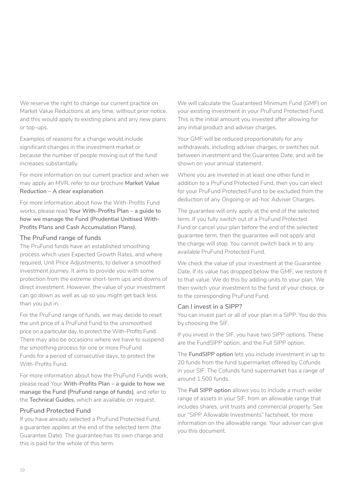We reserve the right to change our current practice on Market Value Reductions at any time, without prior notice, and this would apply to existing plans and any new plans or top-ups.

Examples of reasons for a change would include significant changes in the investment market or because the number of people moving out of the fund increases substantially.

For more information on our current practice and when we may apply an MVR, refer to our brochure **Market Value Reduction – A clear explanation**.

For more information about how the With-Profits Fund works, please read **Your With-Profits Plan – a guide to how we manage the Fund (Prudential Unitised With-Profits Plans and Cash Accumulation Plans).**

#### **The PruFund range of funds**

The PruFund funds have an established smoothing process which uses Expected Growth Rates, and where required, Unit Price Adjustments, to deliver a smoothed investment journey. It aims to provide you with some protection from the extreme short-term ups and downs of direct investment. However, the value of your investment can go down as well as up so you might get back less than you put in.

For the PruFund range of funds, we may decide to reset the unit price of a PruFund Fund to the unsmoothed price on a particular day, to protect the With-Profits Fund. There may also be occasions where we have to suspend the smoothing process for one or more PruFund Funds for a period of consecutive days, to protect the With-Profits Fund.

For more information about how the PruFund Funds work, please read Your **With-Profits Plan – a guide to how we manage the Fund (PruFund range of funds)**, and refer to the **Technical Guides**, which are available on request.

#### **PruFund Protected Fund**

If you have already selected a PruFund Protected Fund, a guarantee applies at the end of the selected term (the Guarantee Date). The guarantee has its own charge and this is paid for the whole of this term.

We will calculate the Guaranteed Minimum Fund (GMF) on your existing investment in your PruFund Protected Fund. This is the initial amount you invested after allowing for any initial product and adviser charges.

Your GMF will be reduced proportionately for any withdrawals, including adviser charges, or switches out between investment and the Guarantee Date, and will be shown on your annual statement.

Where you are invested in at least one other fund in addition to a PruFund Protected Fund, then you can elect for your PruFund Protected Fund to be excluded from the deduction of any Ongoing or ad-hoc Adviser Charges.

The guarantee will only apply at the end of the selected term. If you fully switch out of a PruFund Protected Fund or cancel your plan before the end of the selected guarantee term, then the guarantee will not apply and the charge will stop. You cannot switch back in to any available PruFund Protected Fund.

We check the value of your investment at the Guarantee Date. If its value has dropped below the GMF, we restore it to that value. We do this by adding units to your plan. We then switch your investment to the fund of your choice, or to the corresponding PruFund Fund.

#### **Can I invest in a SIPP?**

You can invest part or all of your plan in a SIPP. You do this by choosing the SIF.

If you invest in the SIF, you have two SIPP options. These are the FundSlPP option, and the Full SIPP option.

The **FundSlPP option** lets you include investment in up to 20 funds from the fund supermarket offered by Cofunds in your SIF. The Cofunds fund supermarket has a range of around 1,500 funds.

The **Full SIPP option** allows you to include a much wider range of assets in your SIF, from an allowable range that includes shares, unit trusts and commercial property. See our "SlPP Allowable Investments" factsheet, for more information on the allowable range. Your adviser can give you this document.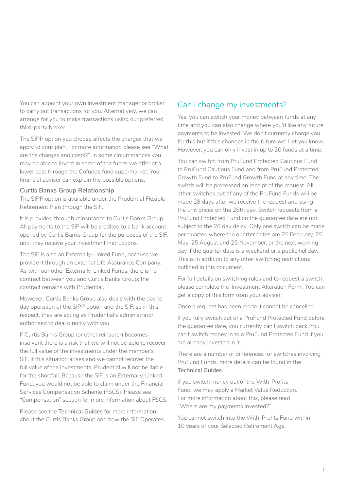<span id="page-10-0"></span>You can appoint your own investment manager or broker to carry out transactions for you. Alternatively, we can arrange for you to make transactions using our preferred third-party broker.

The SIPP option you choose affects the charges that we apply to your plan. For more information please see "What are the charges and costs?". ln some circumstances you may be able to invest in some of the funds we offer at a lower cost through the Cofunds fund supermarket. Your financial adviser can explain the possible options.

#### **Curtis Banks Group Relationship**

The SIPP option is available under the Prudential Flexible Retirement Plan through the SIF.

It is provided through reinsurance to Curtis Banks Group. All payments to the SIF will be credited to a bank account opened by Curtis Banks Group for the purposes of the SIF, until they receive your investment instructions.

The SIF is also an Externally-Linked Fund, because we provide it through an external Life Assurance Company. As with our other Externally-Linked Funds, there is no contract between you and Curtis Banks Group; the contract remains with Prudential.

However, Curtis Banks Group also deals with the day to day operation of the SIPP option and the SIF, so in this respect, they are acting as Prudential's administrator authorised to deal directly with you.

If Curtis Banks Group (or other reinsurer) becomes insolvent there is a risk that we will not be able to recover the full value of the investments under the member's SlF. If this situation arises and we cannot recover the full value of the investments, Prudential will not be liable for the shortfall. Because the SIF is an Externally-Linked Fund, you would not be able to claim under the Financial Services Compensation Scheme (FSCS). Please see "Compensation" section for more information about FSCS.

Please see the **Technical Guides** for more information about the Curtis Banks Group and how the SIF Operates.

# Can I change my investments?

Yes, you can switch your money between funds at any time and you can also change where you'd like any future payments to be invested. We don't currently charge you for this but if this changes in the future we'll let you know. However, you can only invest in up to 20 funds at a time.

You can switch from PruFund Protected Cautious Fund to PruFund Cautious Fund and from PruFund Protected Growth Fund to PruFund Growth Fund at any time. The switch will be processed on receipt of the request. All other switches out of any of the PruFund Funds will be made 28 days after we receive the request and using the unit prices on the 28th day. Switch requests from a PruFund Protected Fund on the guarantee date are not subject to the 28 day delay. Only one switch can be made per quarter, where the quarter dates are 25 February, 25 May, 25 August and 25 November, or the next working day if the quarter date is a weekend or a public holiday. This is in addition to any other switching restrictions outlined in this document.

For full details on switching rules and to request a switch, please complete the 'Investment Alteration Form'. You can get a copy of this form from your adviser.

Once a request has been made it cannot be cancelled.

If you fully switch out of a PruFund Protected Fund before the guarantee date, you currently can't switch back. You can't switch money in to a PruFund Protected Fund if you are already invested in it.

There are a number of differences for switches involving PruFund Funds, more details can be found in the **Technical Guides**.

If you switch money out of the With-Profits Fund, we may apply a Market Value Reduction. For more information about this, please read "Where are my payments invested?"

You cannot switch into the With-Profits Fund within 10 years of your Selected Retirement Age.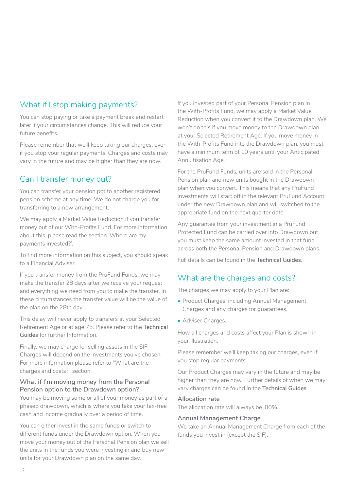# <span id="page-11-0"></span>What if I stop making payments?

You can stop paying or take a payment break and restart later if your circumstances change. This will reduce your future benefits.

Please remember that we'll keep taking our charges, even if you stop your regular payments. Charges and costs may vary in the future and may be higher than they are now.

# Can I transfer money out?

You can transfer your pension pot to another registered pension scheme at any time. We do not charge you for transferring to a new arrangement.

We may apply a Market Value Reduction if you transfer money out of our With-Profits Fund. For more information about this, please read the section 'Where are my payments invested?'.

To find more information on this subject, you should speak to a Financial Adviser.

If you transfer money from the PruFund Funds, we may make the transfer 28 days after we receive your request and everything we need from you to make the transfer. In these circumstances the transfer value will be the value of the plan on the 28th day.

This delay will never apply to transfers at your Selected Retirement Age or at age 75. Please refer to the **Technical Guides** for further Information.

Finally, we may charge for selling assets in the SIF Charges will depend on the investments you've chosen. For more information please refer to "What are the charges and costs?" section.

#### **What if I'm moving money from the Personal Pension option to the Drawdown option?**

You may be moving some or all of your money as part of a phased drawdown, which is where you take your tax-free cash and income gradually over a period of time.

You can either invest in the same funds or switch to different funds under the Drawdown option. When you move your money out of the Personal Pension plan we sell the units in the funds you were investing in and buy new units for your Drawdown plan on the same day.

If you invested part of your Personal Pension plan in the With-Profits Fund, we may apply a Market Value Reduction when you convert it to the Drawdown plan. We won't do this if you move money to the Drawdown plan at your Selected Retirement Age. If you move money in the With-Profits Fund into the Drawdown plan, you must have a minimum term of 10 years until your Anticipated Annuitisation Age.

For the PruFund Funds, units are sold in the Personal Pension plan and new units bought in the Drawdown plan when you convert. This means that any PruFund investments will start off in the relevant PruFund Account under the new Drawdown plan and will switched to the appropriate fund on the next quarter date.

Any guarantee from your investment in a PruFund Protected Fund can be carried over into Drawdown but you must keep the same amount invested in that fund across both the Personal Pension and Drawdown plans.

Full details can be found in the **Technical Guides**.

# What are the charges and costs?

The charges we may apply to your Plan are:

- Product Charges, including Annual Management Charges and any charges for guarantees.
- Adviser Charges.

How all charges and costs affect your Plan is shown in your illustration.

Please remember we'll keep taking our charges, even if you stop regular payments.

Our Product Charges may vary in the future and may be higher than they are now. Further details of when we may vary charges can be found in the **Technical Guides**.

#### **Allocation rate**

The allocation rate will always be l00%.

#### **Annual Management Charge**

We take an Annual Management Charge from each of the funds you invest in (except the SIF).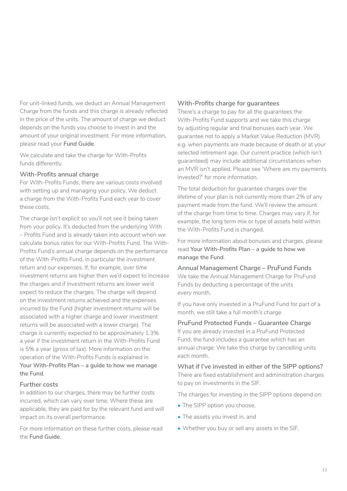For unit-linked funds, we deduct an Annual Management Charge from the funds and this charge is already reflected in the price of the units. The amount of charge we deduct depends on the funds you choose to invest in and the amount of your original investment. For more information, please read your **Fund Guide**.

We calculate and take the charge for With-Profits funds differently.

#### **With-Profits annual charge**

For With-Profits Funds, there are various costs involved with setting up and managing your policy. We deduct a charge from the With-Profits Fund each year to cover these costs.

The charge isn't explicit so you'll not see it being taken from your policy. It's deducted from the underlying With – Profits Fund and is already taken into account when we calculate bonus rates for our With-Profits Fund. The With-Profits Fund's annual charge depends on the performance of the With-Profits Fund, in particular the investment return and our expenses. If, for example, over time investment returns are higher then we'd expect to increase the charges and if investment returns are lower we'd expect to reduce the charges. The charge will depend on the investment returns achieved and the expenses incurred by the Fund (higher investment returns will be associated with a higher charge and lower investment returns will be associated with a lower charge). The charge is currently expected to be approximately 1.3% a year if the investment return in the With-Profits Fund is 5% a year (gross of tax). More information on the operation of the With-Profits Funds is explained in **Your With-Profits Plan – a guide to how we manage the Fund**.

#### **Further costs**

In addition to our charges, there may be further costs incurred, which can vary over time. Where these are applicable, they are paid for by the relevant fund and will impact on its overall performance.

For more information on these further costs, please read the **Fund Guide**.

#### **With-Profits charge for guarantees**

There's a charge to pay for all the guarantees the With-Profits Fund supports and we take this charge by adjusting regular and final bonuses each year. We guarantee not to apply a Market Value Reduction (MVR) e.g. when payments are made because of death or at your selected retirement age. Our current practice (which isn't guaranteed) may include additional circumstances when an MVR isn't applied. Please see 'Where are my payments invested?' for more information.

The total deduction for guarantee charges over the lifetime of your plan is not currently more than 2% of any payment made from the fund. We'll review the amount of the charge from time to time. Charges may vary if, for example, the long term mix or type of assets held within the With-Profits Fund is changed.

For more information about bonuses and charges, please read **Your With-Profits Plan – a guide to how we manage the Fund**.

**Annual Management Charge – PruFund Funds** We take the Annual Management Charge for PruFund Funds by deducting a percentage of the units every month.

If you have only invested in a PruFund Fund for part of a month, we still take a full month's charge.

#### **PruFund Protected Funds – Guarantee Charge**

If you are already invested in a PruFund Protected Fund, the fund includes a guarantee which has an annual charge. We take this charge by cancelling units each month.

**What if I've invested in either of the SIPP options?** There are fixed establishment and administration charges to pay on investments in the SIF.

The charges for investing in the SIPP options depend on:

- The SIPP option you choose,
- The assets you invest in, and
- Whether you buy or sell any assets in the SIF.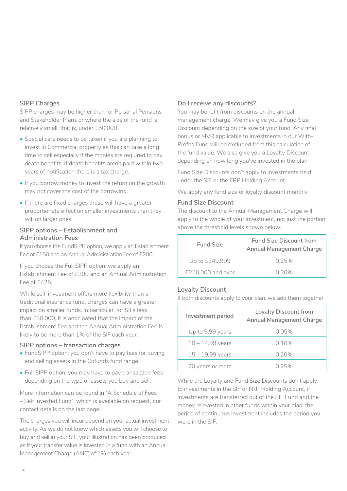#### **SIPP Charges**

SIPP charges may be higher than for Personal Pensions and Stakeholder Plans or where the size of the fund is relatively small, that is, under £50,000.

- Special care needs to be taken if you are planning to invest in Commercial property as this can take a long time to sell especially if the monies are required to pay death benefits. If death benefits aren't paid within two years of notification there is a tax charge.
- If you borrow money to invest the return on the growth may not cover the cost of the borrowing.
- If there are fixed charges these will have a greater proportionate effect on smaller investments than they will on larger ones.

#### **SIPP options – Establishment and Administration Fees**

If you choose the FundSlPP option, we apply an Establishment Fee of £150 and an Annual Administration Fee of £200.

If you choose the Full SIPP option, we apply an Establishment Fee of £300 and an Annual Administration Fee of  $f425$ .

While self-investment offers more flexibility than a traditional insurance fund, charges can have a greater impact on smaller funds. ln particular, for SIFs less than £50,000, it is anticipated that the impact of the Establishment Fee and the Annual Administration Fee is likely to be more than 1% of the SIF each year.

#### **SIPP options – transaction charges**

- FundSlPP option: you don't have to pay fees for buying and selling assets in the Cofunds fund range.
- Full SIPP option: you may have to pay transaction fees depending on the type of assets you buy and sell.

More information can be found in "A Schedule of Fees – Self Invested Fund", which is available on request, our contact details on the last page.

The charges you will incur depend on your actual investment activity. As we do not know which assets you will choose to buy and sell in your SIF, your illustration has been produced as if your transfer value is invested in a fund with an Annual Management Charge (AMC) of 1% each year.

#### **Do I receive any discounts?**

You may benefit from discounts on the annual management charge. We may give you a Fund Size Discount depending on the size of your fund. Any final bonus or MVR applicable to investments in our With-Profits Fund will be excluded from this calculation of the fund value. We also give you a Loyalty Discount depending on how long you've invested in the plan.

Fund Size Discounts don't apply to investments held under the SIF or the FRP Holding Account.

We apply any fund size or loyalty discount monthly.

#### **Fund Size Discount**

The discount to the Annual Management Charge will apply to the whole of your investment, not just the portion above the threshold levels shown below.

| <b>Fund Size</b>  | <b>Fund Size Discount from</b><br><b>Annual Management Charge</b> |
|-------------------|-------------------------------------------------------------------|
| Up to £249,999    | 0.25%                                                             |
| £250,000 and over | 0.30%                                                             |

#### **Loyalty Discount**

If both discounts apply to your plan, we add them together.

| Investment period  | <b>Loyalty Discount from</b><br><b>Annual Management Charge</b> |
|--------------------|-----------------------------------------------------------------|
| Up to 9.99 years   | 0.05%                                                           |
| $10 - 14.99$ years | 0.10%                                                           |
| $15 - 19.99$ years | 0.20%                                                           |
| 20 years or more   | በ 25%                                                           |

While the Loyalty and Fund Size Discounts don't apply to investments in the SIF or FRP Holding Account, if investments are transferred out of the SIF Fund and the money reinvested in other funds within your plan, the period of continuous investment includes the period you were in the SIF.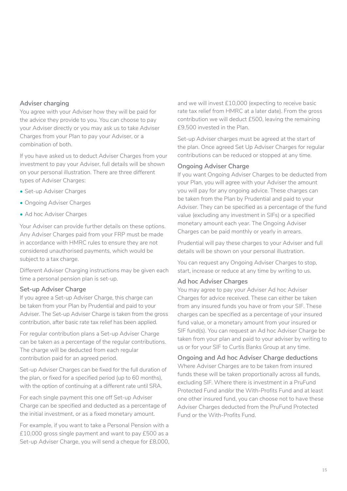#### **Adviser charging**

You agree with your Adviser how they will be paid for the advice they provide to you. You can choose to pay your Adviser directly or you may ask us to take Adviser Charges from your Plan to pay your Adviser, or a combination of both.

If you have asked us to deduct Adviser Charges from your investment to pay your Adviser, full details will be shown on your personal illustration. There are three different types of Adviser Charges:

- Set-up Adviser Charges
- Ongoing Adviser Charges
- Ad hoc Adviser Charges

Your Adviser can provide further details on these options. Any Adviser Charges paid from your FRP must be made in accordance with HMRC rules to ensure they are not considered unauthorised payments, which would be subject to a tax charge.

Different Adviser Charging instructions may be given each time a personal pension plan is set-up.

#### **Set-up Adviser Charge**

If you agree a Set-up Adviser Charge, this charge can be taken from your Plan by Prudential and paid to your Adviser. The Set-up Adviser Charge is taken from the gross contribution, after basic rate tax relief has been applied.

For regular contribution plans a Set-up Adviser Charge can be taken as a percentage of the regular contributions. The charge will be deducted from each regular contribution paid for an agreed period.

Set-up Adviser Charges can be fixed for the full duration of the plan, or fixed for a specified period (up to 60 months), with the option of continuing at a different rate until SRA.

For each single payment this one off Set-up Adviser Charge can be specified and deducted as a percentage of the initial investment, or as a fixed monetary amount.

For example, if you want to take a Personal Pension with a £10,000 gross single payment and want to pay £500 as a Set-up Adviser Charge, you will send a cheque for £8,000, and we will invest £10,000 (expecting to receive basic rate tax relief from HMRC at a later date). From the gross contribution we will deduct £500, leaving the remaining £9,500 invested in the Plan.

Set-up Adviser charges must be agreed at the start of the plan. Once agreed Set Up Adviser Charges for regular contributions can be reduced or stopped at any time.

#### **Ongoing Adviser Charge**

If you want Ongoing Adviser Charges to be deducted from your Plan, you will agree with your Adviser the amount you will pay for any ongoing advice. These charges can be taken from the Plan by Prudential and paid to your Adviser. They can be specified as a percentage of the fund value (excluding any investment in SIFs) or a specified monetary amount each year. The Ongoing Adviser Charges can be paid monthly or yearly in arrears.

Prudential will pay these charges to your Adviser and full details will be shown on your personal illustration.

You can request any Ongoing Adviser Charges to stop, start, increase or reduce at any time by writing to us.

#### **Ad hoc Adviser Charges**

You may agree to pay your Adviser Ad hoc Adviser Charges for advice received. These can either be taken from any insured funds you have or from your SIF. These charges can be specified as a percentage of your insured fund value, or a monetary amount from your insured or SIF fund(s). You can request an Ad hoc Adviser Charge be taken from your plan and paid to your adviser by writing to us or for your SIF to Curtis Banks Group at any time.

**Ongoing and Ad hoc Adviser Charge deductions** Where Adviser Charges are to be taken from insured funds these will be taken proportionally across all funds, excluding SlF. Where there is investment in a PruFund Protected Fund and/or the With-Profits Fund and at least one other insured fund, you can choose not to have these Adviser Charges deducted from the PruFund Protected Fund or the With-Profits Fund.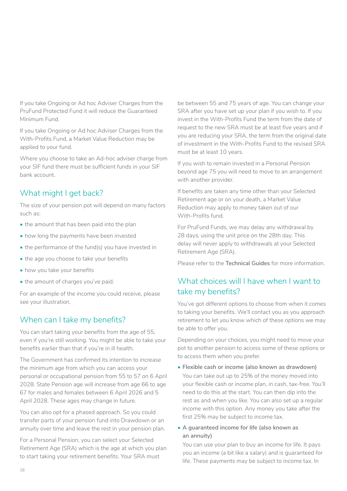<span id="page-15-0"></span>If you take Ongoing or Ad hoc Adviser Charges from the PruFund Protected Fund it will reduce the Guaranteed Minimum Fund.

If you take Ongoing or Ad hoc Adviser Charges from the With-Profits Fund, a Market Value Reduction may be applied to your fund.

Where you choose to take an Ad-hoc adviser charge from your SIF fund there must be sufficient funds in your SIF bank account.

# What might I get back?

The size of your pension pot will depend on many factors such as:

- the amount that has been paid into the plan
- how long the payments have been invested
- the performance of the fund(s) you have invested in
- the age you choose to take your benefits
- how you take your benefits
- the amount of charges you've paid.

For an example of the income you could receive, please see your illustration.

# When can I take my benefits?

You can start taking your benefits from the age of 55, even if you're still working. You might be able to take your benefits earlier than that if you're in ill health.

The Government has confirmed its intention to increase the minimum age from which you can access your personal or occupational pension from 55 to 57 on 6 April 2028. State Pension age will increase from age 66 to age 67 for males and females between 6 April 2026 and 5 April 2028. These ages may change in future.

You can also opt for a phased approach. So you could transfer parts of your pension fund into Drawdown or an annuity over time and leave the rest in your pension plan.

For a Personal Pension, you can select your Selected Retirement Age (SRA) which is the age at which you plan to start taking your retirement benefits. Your SRA must

be between 55 and 75 years of age. You can change your SRA after you have set up your plan if you wish to. If you invest in the With-Profits Fund the term from the date of request to the new SRA must be at least five years and if you are reducing your SRA, the term from the original date of investment in the With-Profits Fund to the revised SRA must be at least 10 years.

If you wish to remain invested in a Personal Pension beyond age 75 you will need to move to an arrangement with another provider.

If benefits are taken any time other than your Selected Retirement age or on your death, a Market Value Reduction may apply to money taken out of our With-Profits fund.

For PruFund Funds, we may delay any withdrawal by 28 days, using the unit price on the 28th day. This delay will never apply to withdrawals at your Selected Retirement Age (SRA).

Please refer to the **Technical Guides** for more information.

# What choices will I have when I want to take my benefits?

You've got different options to choose from when it comes to taking your benefits. We'll contact you as you approach retirement to let you know which of these options we may be able to offer you.

Depending on your choices, you might need to move your pot to another pension to access some of these options or to access them when you prefer.

• **Flexible cash or income (also known as drawdown)** You can take out up to 25% of the money moved into

your flexible cash or income plan, in cash, tax-free. You'll need to do this at the start. You can then dip into the rest as and when you like. You can also set up a regular income with this option. Any money you take after the first 25% may be subject to income tax.

• **A guaranteed income for life (also known as an annuity)**

You can use your plan to buy an income for life. It pays you an income (a bit like a salary) and is guaranteed for life. These payments may be subject to income tax. In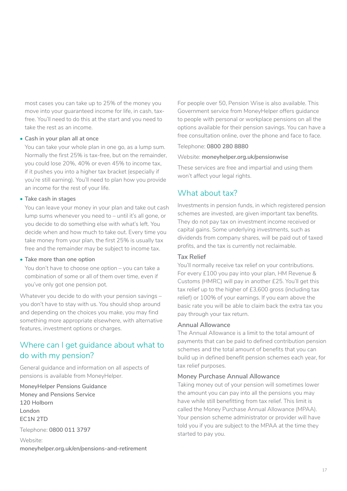<span id="page-16-0"></span>most cases you can take up to 25% of the money you move into your guaranteed income for life, in cash, taxfree. You'll need to do this at the start and you need to take the rest as an income.

#### • **Cash in your plan all at once**

You can take your whole plan in one go, as a lump sum. Normally the first 25% is tax-free, but on the remainder, you could lose 20%, 40% or even 45% to income tax, if it pushes you into a higher tax bracket (especially if you're still earning). You'll need to plan how you provide an income for the rest of your life.

#### **• Take cash in stages**

You can leave your money in your plan and take out cash lump sums whenever you need to – until it's all gone, or you decide to do something else with what's left. You decide when and how much to take out. Every time you take money from your plan, the first 25% is usually tax free and the remainder may be subject to income tax.

#### **• Take more than one option**

You don't have to choose one option – you can take a combination of some or all of them over time, even if you've only got one pension pot.

Whatever you decide to do with your pension savings – you don't have to stay with us. You should shop around and depending on the choices you make, you may find something more appropriate elsewhere, with alternative features, investment options or charges.

# Where can I get guidance about what to do with my pension?

General guidance and information on all aspects of pensions is available from MoneyHelper.

**MoneyHelper Pensions Guidance Money and Pensions Service 120 Holborn London EC1N 2TD**

Telephone: **0800 011 3797**

Website:

**moneyhelper.org.uk/en/pensions-and-retirement**

For people over 50, Pension Wise is also available. This Government service from MoneyHelper offers guidance to people with personal or workplace pensions on all the options available for their pension savings. You can have a free consultation online, over the phone and face to face.

#### Telephone: **0800 280 8880**

#### Website: **moneyhelper.org.uk/pensionwise**

These services are free and impartial and using them won't affect your legal rights.

# What about tax?

Investments in pension funds, in which registered pension schemes are invested, are given important tax benefits. They do not pay tax on investment income received or capital gains. Some underlying investments, such as dividends from company shares, will be paid out of taxed profits, and the tax is currently not reclaimable.

#### **Tax Relief**

You'll normally receive tax relief on your contributions. For every £100 you pay into your plan, HM Revenue & Customs (HMRC) will pay in another £25. You'll get this tax relief up to the higher of £3,600 gross (including tax relief) or 100% of your earnings. If you earn above the basic rate you will be able to claim back the extra tax you pay through your tax return.

#### **Annual Allowance**

The Annual Allowance is a limit to the total amount of payments that can be paid to defined contribution pension schemes and the total amount of benefits that you can build up in defined benefit pension schemes each year, for tax relief purposes.

#### **Money Purchase Annual Allowance**

Taking money out of your pension will sometimes lower the amount you can pay into all the pensions you may have while still benefitting from tax relief. This limit is called the Money Purchase Annual Allowance (MPAA). Your pension scheme administrator or provider will have told you if you are subject to the MPAA at the time they started to pay you.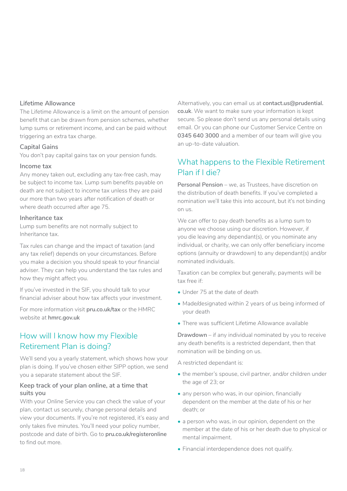#### <span id="page-17-0"></span>**Lifetime Allowance**

The Lifetime Allowance is a limit on the amount of pension benefit that can be drawn from pension schemes, whether lump sums or retirement income, and can be paid without triggering an extra tax charge.

#### **Capital Gains**

You don't pay capital gains tax on your pension funds.

#### **Income tax**

Any money taken out, excluding any tax-free cash, may be subject to income tax. Lump sum benefits payable on death are not subject to income tax unless they are paid our more than two years after notification of death or where death occurred after age 75.

#### **Inheritance tax**

Lump sum benefits are not normally subject to Inheritance tax.

Tax rules can change and the impact of taxation (and any tax relief) depends on your circumstances. Before you make a decision you should speak to your financial adviser. They can help you understand the tax rules and how they might affect you.

If you've invested in the SIF, you should talk to your financial adviser about how tax affects your investment.

For more information visit **[pru.co.uk/tax](https://www.pru.co.uk/pensions-retirement/help-guides-and-articles/tax-information/?utm_source=redirect&utm_medium=301&utm_campaign=/tax)** or the HMRC website at **[hmrc.gov.uk](https://www.gov.uk/government/organisations/hm-revenue-customs)**

# How will I know how my Flexible Retirement Plan is doing?

We'll send you a yearly statement, which shows how your plan is doing. If you've chosen either SIPP option, we send you a separate statement about the SIF.

#### **Keep track of your plan online, at a time that suits you**

With your Online Service you can check the value of your plan, contact us securely, change personal details and view your documents. If you're not registered, it's easy and only takes five minutes. You'll need your policy number, postcode and date of birth. Go to **[pru.co.uk/registeronline](http://www.pru.co.uk/registeronline)** to find out more.

Alternatively, you can email us at **[contact.us@prudential.](mailto:contact.us%40prudential.co.uk?subject=) [co.uk](mailto:contact.us%40prudential.co.uk?subject=)**. We want to make sure your information is kept secure. So please don't send us any personal details using email. Or you can phone our Customer Service Centre on **0345 640 3000** and a member of our team will give you an up-to-date valuation.

# What happens to the Flexible Retirement Plan if I die?

**Personal Pension** – we, as Trustees, have discretion on the distribution of death benefits. If you've completed a nomination we'll take this into account, but it's not binding on us.

We can offer to pay death benefits as a lump sum to anyone we choose using our discretion. However, if you die leaving any dependant(s), or you nominate any individual, or charity, we can only offer beneficiary income options (annuity or drawdown) to any dependant(s) and/or nominated individuals.

Taxation can be complex but generally, payments will be tax free if:

- Under 75 at the date of death
- Made/designated within 2 years of us being informed of your death
- There was sufficient Lifetime Allowance available

**Drawdown** – if any individual nominated by you to receive any death benefits is a restricted dependant, then that nomination will be binding on us.

A restricted dependant is:

- the member's spouse, civil partner, and/or children under the age of 23; or
- any person who was, in our opinion, financially dependent on the member at the date of his or her death; or
- a person who was, in our opinion, dependent on the member at the date of his or her death due to physical or mental impairment.
- Financial interdependence does not qualify.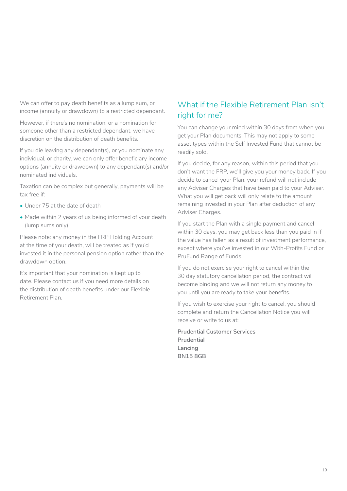<span id="page-18-0"></span>We can offer to pay death benefits as a lump sum, or income (annuity or drawdown) to a restricted dependant.

However, if there's no nomination, or a nomination for someone other than a restricted dependant, we have discretion on the distribution of death benefits.

If you die leaving any dependant(s), or you nominate any individual, or charity, we can only offer beneficiary income options (annuity or drawdown) to any dependant(s) and/or nominated individuals.

Taxation can be complex but generally, payments will be tax free if:

- Under 75 at the date of death
- Made within 2 years of us being informed of your death (lump sums only)

Please note: any money in the FRP Holding Account at the time of your death, will be treated as if you'd invested it in the personal pension option rather than the drawdown option.

It's important that your nomination is kept up to date. Please contact us if you need more details on the distribution of death benefits under our Flexible Retirement Plan.

# What if the Flexible Retirement Plan isn't right for me?

You can change your mind within 30 days from when you get your Plan documents. This may not apply to some asset types within the Self Invested Fund that cannot be readily sold.

If you decide, for any reason, within this period that you don't want the FRP, we'll give you your money back. If you decide to cancel your Plan, your refund will not include any Adviser Charges that have been paid to your Adviser. What you will get back will only relate to the amount remaining invested in your Plan after deduction of any Adviser Charges.

If you start the Plan with a single payment and cancel within 30 days, you may get back less than you paid in if the value has fallen as a result of investment performance, except where you've invested in our With-Profits Fund or PruFund Range of Funds.

If you do not exercise your right to cancel within the 30 day statutory cancellation period, the contract will become binding and we will not return any money to you until you are ready to take your benefits.

If you wish to exercise your right to cancel, you should complete and return the Cancellation Notice you will receive or write to us at:

**Prudential Customer Services Prudential Lancing BN15 8GB**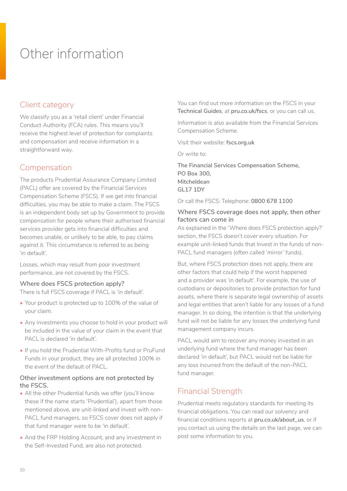# <span id="page-19-0"></span>Other information

# Client category

We classify you as a 'retail client' under Financial Conduct Authority (FCA) rules. This means you'll receive the highest level of protection for complaints and compensation and receive information in a straightforward way.

# Compensation

The products Prudential Assurance Company Limited (PACL) offer are covered by the Financial Services Compensation Scheme (FSCS). If we get into financial difficulties, you may be able to make a claim. The FSCS is an independent body set up by Government to provide compensation for people where their authorised financial services provider gets into financial difficulties and becomes unable, or unlikely to be able, to pay claims against it. This circumstance is referred to as being 'in default'.

Losses, which may result from poor investment performance, are not covered by the FSCS.

#### **Where does FSCS protection apply?**

There is full FSCS coverage if PACL is 'in default'.

- Your product is protected up to 100% of the value of your claim.
- Any investments you choose to hold in your product will be included in the value of your claim in the event that PACL is declared 'in default'.
- If you hold the Prudential With-Profits fund or PruFund Funds in your product, they are all protected 100% in the event of the default of PACL.

#### **Other investment options are not protected by the FSCS.**

- All the other Prudential funds we offer (you'll know these if the name starts 'Prudential'), apart from those mentioned above, are unit-linked and invest with non-PACL fund managers, so FSCS cover does not apply if that fund manager were to be 'in default'.
- And the FRP Holding Account, and any investment in the Self-lnvested Fund, are also not protected.

You can find out more information on the FSCS in your **Technical Guides**, at **[pru.co.uk/fscs](http://www.pru.co.uk/fscs)**, or you can call us.

Information is also available from the Financial Services Compensation Scheme.

Visit their website: **[fscs.org.uk](http://www.fscs.org.uk)**

Or write to:

**The Financial Services Compensation Scheme, PO Box 300, Mitcheldean GL17 1DY**

Or call the FSCS: Telephone: **0800 678 1100**

#### **Where FSCS coverage does not apply, then other factors can come in**

As explained in the 'Where does FSCS protection apply?' section, the FSCS doesn't cover every situation. For example unit-linked funds that Invest in the funds of non-PACL fund managers (often called 'mirror' funds).

But, where FSCS protection does not apply, there are other factors that could help if the worst happened and a provider was 'in default'. For example, the use of custodians or depositories to provide protection for fund assets, where there is separate legal ownership of assets and legal entities that aren't liable for any losses of a fund manager. ln so doing, the intention is that the underlying fund will not be liable for any losses the underlying fund management company incurs.

PACL would aim to recover any money invested in an underlying fund where the fund manager has been declared 'in default', but PACL would not be liable for any loss incurred from the default of the non-PACL fund manager.

# Financial Strength

Prudential meets regulatory standards for meeting its financial obligations. You can read our solvency and financial conditions reports at **[pru.co.uk/about\\_us](https://www.pru.co.uk/about/?utm_source=redirect&utm_medium=301&utm_campaign=/about_us/)**, or if you contact us using the details on the last page, we can post some information to you.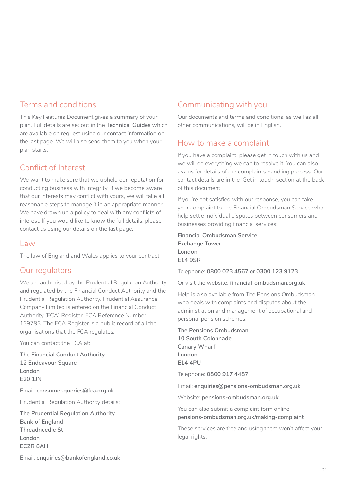## Terms and conditions

This Key Features Document gives a summary of your plan. Full details are set out in the **Technical Guides** which are available on request using our contact information on the last page. We will also send them to you when your plan starts.

# Conflict of Interest

We want to make sure that we uphold our reputation for conducting business with integrity. If we become aware that our interests may conflict with yours, we will take all reasonable steps to manage it in an appropriate manner. We have drawn up a policy to deal with any conflicts of interest. If you would like to know the full details, please contact us using our details on the last page.

#### Law

The law of England and Wales applies to your contract.

# Our regulators

We are authorised by the Prudential Regulation Authority and regulated by the Financial Conduct Authority and the Prudential Regulation Authority. Prudential Assurance Company Limited is entered on the Financial Conduct Authority (FCA) Register, FCA Reference Number 139793. The FCA Register is a public record of all the organisations that the FCA regulates.

You can contact the FCA at:

**The Financial Conduct Authority 12 Endeavour Square London E20 1JN**

Email: **consumer.queries@fca.org.uk** 

Prudential Regulation Authority details:

**The Prudential Regulation Authority Bank of England Threadneedle St London EC2R 8AH** 

# Communicating with you

Our documents and terms and conditions, as well as all other communications, will be in English.

# How to make a complaint

If you have a complaint, please get in touch with us and we will do everything we can to resolve it. You can also ask us for details of our complaints handling process. Our contact details are in the 'Get in touch' section at the back of this document.

If you're not satisfied with our response, you can take your complaint to the Financial Ombudsman Service who help settle individual disputes between consumers and businesses providing financial services:

**Financial Ombudsman Service Exchange Tower London E14 9SR**

Telephone: **0800 023 4567** or **0300 123 9123**

Or visit the website: **[financial-ombudsman.org.uk](https://www.financial-ombudsman.org.uk/)**

Help is also available from The Pensions Ombudsman who deals with complaints and disputes about the administration and management of occupational and personal pension schemes.

**The Pensions Ombudsman 10 South Colonnade Canary Wharf London E14 4PU**

Telephone: **0800 917 4487**

Email: **enquiries@pensions-ombudsman.org.uk**

Website: **[pensions-ombudsman.org.uk](https://www.pensions-ombudsman.org.uk/)**

You can also submit a complaint form online: **[pensions-ombudsman.org.uk/making-complaint](https://www.pensions-ombudsman.org.uk/making-complaint)**

These services are free and using them won't affect your legal rights.

Email: **enquiries@bankofengland.co.uk**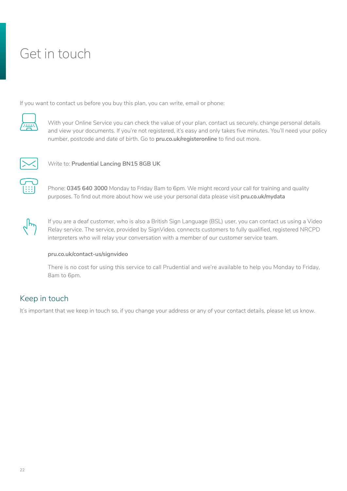# <span id="page-21-0"></span>Get in touch

If you want to contact us before you buy this plan, you can write, email or phone:



With your Online Service you can check the value of your plan, contact us securely, change personal details and view your documents. If you're not registered, it's easy and only takes five minutes. You'll need your policy number, postcode and date of birth. Go to **[pru.co.uk/registeronline](https://www.pru.co.uk/registeronline)** to find out more.



Write to: **Prudential Lancing BN15 8GB UK**

Phone: **0345 640 3000** Monday to Friday 8am to 6pm. We might record your call for training and quality purposes. To find out more about how we use your personal data please visit **[pru.co.uk/mydata](http://www.pru.co.uk/mydata)**



If you are a deaf customer, who is also a British Sign Language (BSL) user, you can contact us using a Video Relay service. The service, provided by SignVideo, connects customers to fully qualified, registered NRCPD interpreters who will relay your conversation with a member of our customer service team.

#### **[pru.co.uk/contact-us/signvideo](https://www.pru.co.uk/contact-us/signvideo/)**

There is no cost for using this service to call Prudential and we're available to help you Monday to Friday, 8am to 6pm.

# Keep in touch

It's important that we keep in touch so, if you change your address or any of your contact details, please let us know.